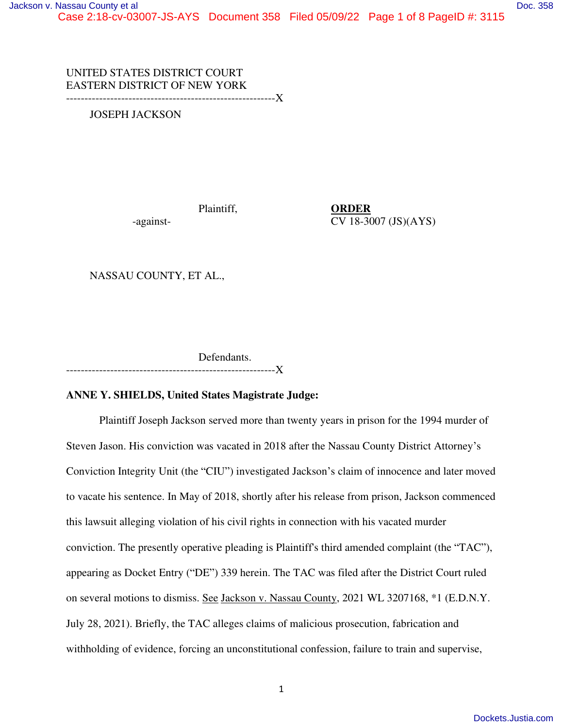UNITED STATES DISTRICT COURT EASTERN DISTRICT OF NEW YORK

---------------------------------------------------------X

JOSEPH JACKSON

Plaintiff, **ORDER**

-against-<br>
CV 18-3007 (JS)(AYS)

NASSAU COUNTY, ET AL.,

 Defendants. ---------------------------------------------------------X

# **ANNE Y. SHIELDS, United States Magistrate Judge:**

Plaintiff Joseph Jackson served more than twenty years in prison for the 1994 murder of Steven Jason. His conviction was vacated in 2018 after the Nassau County District Attorney's Conviction Integrity Unit (the "CIU") investigated Jackson's claim of innocence and later moved to vacate his sentence. In May of 2018, shortly after his release from prison, Jackson commenced this lawsuit alleging violation of his civil rights in connection with his vacated murder conviction. The presently operative pleading is Plaintiff's third amended complaint (the "TAC"), appearing as Docket Entry ("DE") 339 herein. The TAC was filed after the District Court ruled on several motions to dismiss. See Jackson v. Nassau County, 2021 WL 3207168, \*1 (E.D.N.Y. July 28, 2021). Briefly, the TAC alleges claims of malicious prosecution, fabrication and withholding of evidence, forcing an unconstitutional confession, failure to train and supervise,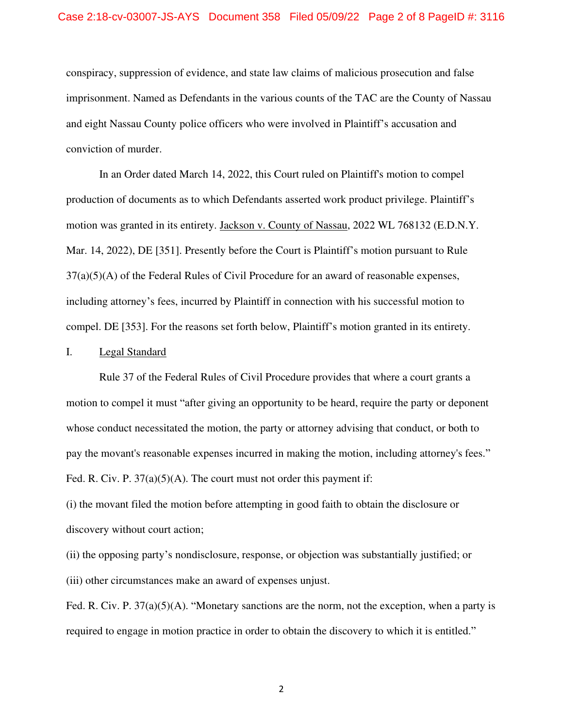conspiracy, suppression of evidence, and state law claims of malicious prosecution and false imprisonment. Named as Defendants in the various counts of the TAC are the County of Nassau and eight Nassau County police officers who were involved in Plaintiff's accusation and conviction of murder.

In an Order dated March 14, 2022, this Court ruled on Plaintiff's motion to compel production of documents as to which Defendants asserted work product privilege. Plaintiff's motion was granted in its entirety. Jackson v. County of Nassau, 2022 WL 768132 (E.D.N.Y. Mar. 14, 2022), DE [351]. Presently before the Court is Plaintiff's motion pursuant to Rule  $37(a)(5)(A)$  of the Federal Rules of Civil Procedure for an award of reasonable expenses, including attorney's fees, incurred by Plaintiff in connection with his successful motion to compel. DE [353]. For the reasons set forth below, Plaintiff's motion granted in its entirety.

## I. Legal Standard

 Rule 37 of the Federal Rules of Civil Procedure provides that where a court grants a motion to compel it must "after giving an opportunity to be heard, require the party or deponent whose conduct necessitated the motion, the party or attorney advising that conduct, or both to pay the movant's reasonable expenses incurred in making the motion, including attorney's fees." Fed. R. Civ. P.  $37(a)(5)(A)$ . The court must not order this payment if:

(i) the movant filed the motion before attempting in good faith to obtain the disclosure or discovery without court action;

(ii) the opposing party's nondisclosure, response, or objection was substantially justified; or (iii) other circumstances make an award of expenses unjust.

Fed. R. Civ. P. 37(a)(5)(A). "Monetary sanctions are the norm, not the exception, when a party is required to engage in motion practice in order to obtain the discovery to which it is entitled."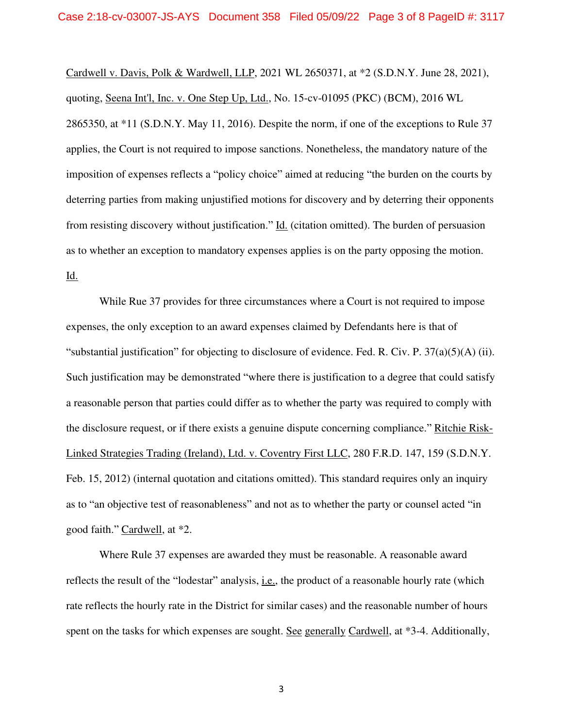Cardwell v. Davis, Polk & Wardwell, LLP, 2021 WL 2650371, at \*2 (S.D.N.Y. June 28, 2021), quoting, Seena Int'l, Inc. v. One Step Up, Ltd., No. 15-cv-01095 (PKC) (BCM), 2016 WL 2865350, at \*11 (S.D.N.Y. May 11, 2016). Despite the norm, if one of the exceptions to Rule 37 applies, the Court is not required to impose sanctions. Nonetheless, the mandatory nature of the imposition of expenses reflects a "policy choice" aimed at reducing "the burden on the courts by deterring parties from making unjustified motions for discovery and by deterring their opponents from resisting discovery without justification." Id. (citation omitted). The burden of persuasion as to whether an exception to mandatory expenses applies is on the party opposing the motion. Id.

 While Rue 37 provides for three circumstances where a Court is not required to impose expenses, the only exception to an award expenses claimed by Defendants here is that of "substantial justification" for objecting to disclosure of evidence. Fed. R. Civ. P.  $37(a)(5)(A)$  (ii). Such justification may be demonstrated "where there is justification to a degree that could satisfy a reasonable person that parties could differ as to whether the party was required to comply with the disclosure request, or if there exists a genuine dispute concerning compliance." Ritchie Risk-Linked Strategies Trading (Ireland), Ltd. v. Coventry First LLC, 280 F.R.D. 147, 159 (S.D.N.Y. Feb. 15, 2012) (internal quotation and citations omitted). This standard requires only an inquiry as to "an objective test of reasonableness" and not as to whether the party or counsel acted "in good faith." Cardwell, at \*2.

 Where Rule 37 expenses are awarded they must be reasonable. A reasonable award reflects the result of the "lodestar" analysis, <u>i.e.</u>, the product of a reasonable hourly rate (which rate reflects the hourly rate in the District for similar cases) and the reasonable number of hours spent on the tasks for which expenses are sought. See generally Cardwell, at \*3-4. Additionally,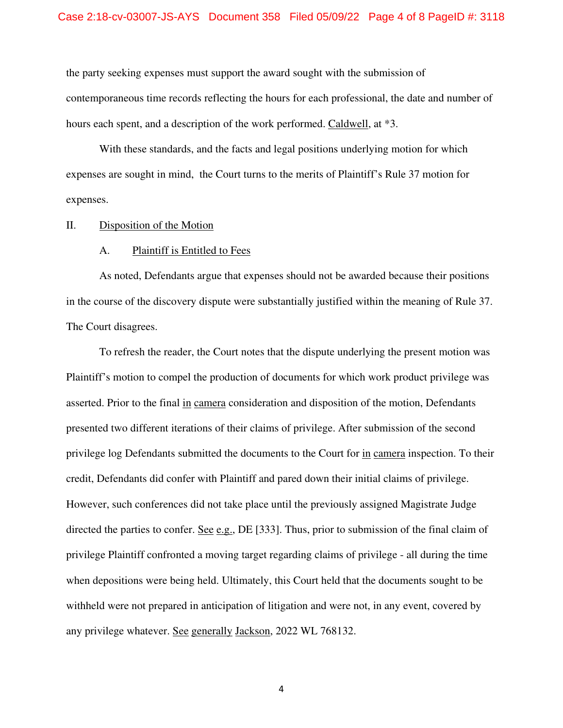the party seeking expenses must support the award sought with the submission of contemporaneous time records reflecting the hours for each professional, the date and number of hours each spent, and a description of the work performed. Caldwell, at \*3.

 With these standards, and the facts and legal positions underlying motion for which expenses are sought in mind, the Court turns to the merits of Plaintiff's Rule 37 motion for expenses.

### II. Disposition of the Motion

### A. Plaintiff is Entitled to Fees

As noted, Defendants argue that expenses should not be awarded because their positions in the course of the discovery dispute were substantially justified within the meaning of Rule 37. The Court disagrees.

To refresh the reader, the Court notes that the dispute underlying the present motion was Plaintiff's motion to compel the production of documents for which work product privilege was asserted. Prior to the final in camera consideration and disposition of the motion, Defendants presented two different iterations of their claims of privilege. After submission of the second privilege log Defendants submitted the documents to the Court for in camera inspection. To their credit, Defendants did confer with Plaintiff and pared down their initial claims of privilege. However, such conferences did not take place until the previously assigned Magistrate Judge directed the parties to confer. <u>See e.g.</u>, DE [333]. Thus, prior to submission of the final claim of privilege Plaintiff confronted a moving target regarding claims of privilege - all during the time when depositions were being held. Ultimately, this Court held that the documents sought to be withheld were not prepared in anticipation of litigation and were not, in any event, covered by any privilege whatever. See generally Jackson, 2022 WL 768132.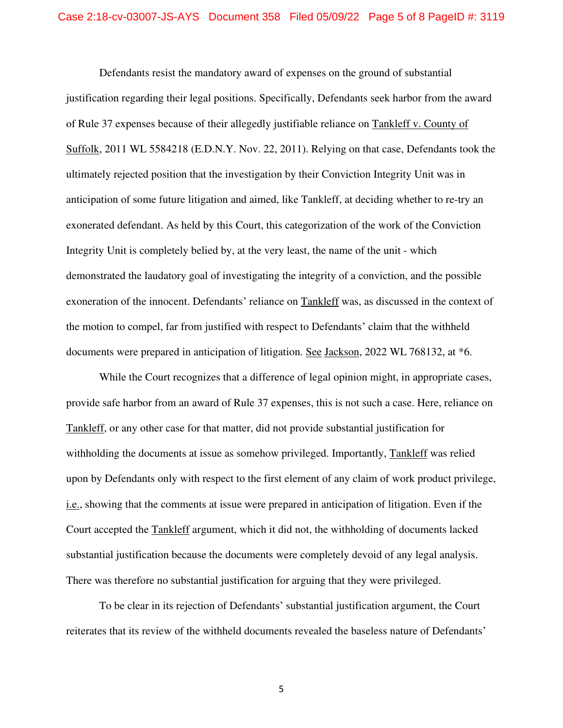Defendants resist the mandatory award of expenses on the ground of substantial justification regarding their legal positions. Specifically, Defendants seek harbor from the award of Rule 37 expenses because of their allegedly justifiable reliance on Tankleff v. County of Suffolk, 2011 WL 5584218 (E.D.N.Y. Nov. 22, 2011). Relying on that case, Defendants took the ultimately rejected position that the investigation by their Conviction Integrity Unit was in anticipation of some future litigation and aimed, like Tankleff, at deciding whether to re-try an exonerated defendant. As held by this Court, this categorization of the work of the Conviction Integrity Unit is completely belied by, at the very least, the name of the unit - which demonstrated the laudatory goal of investigating the integrity of a conviction, and the possible exoneration of the innocent. Defendants' reliance on Tankleff was, as discussed in the context of the motion to compel, far from justified with respect to Defendants' claim that the withheld documents were prepared in anticipation of litigation. See Jackson, 2022 WL 768132, at \*6.

 While the Court recognizes that a difference of legal opinion might, in appropriate cases, provide safe harbor from an award of Rule 37 expenses, this is not such a case. Here, reliance on Tankleff, or any other case for that matter, did not provide substantial justification for withholding the documents at issue as somehow privileged. Importantly, Tankleff was relied upon by Defendants only with respect to the first element of any claim of work product privilege, i.e., showing that the comments at issue were prepared in anticipation of litigation. Even if the Court accepted the Tankleff argument, which it did not, the withholding of documents lacked substantial justification because the documents were completely devoid of any legal analysis. There was therefore no substantial justification for arguing that they were privileged.

To be clear in its rejection of Defendants' substantial justification argument, the Court reiterates that its review of the withheld documents revealed the baseless nature of Defendants'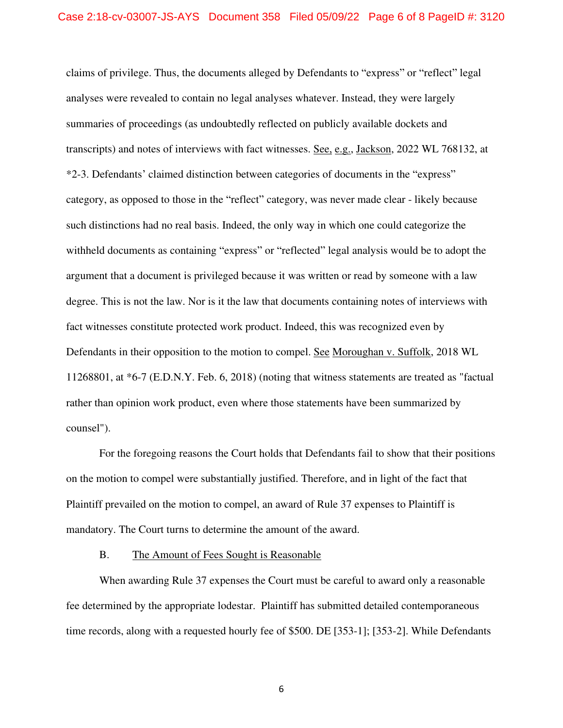claims of privilege. Thus, the documents alleged by Defendants to "express" or "reflect" legal analyses were revealed to contain no legal analyses whatever. Instead, they were largely summaries of proceedings (as undoubtedly reflected on publicly available dockets and transcripts) and notes of interviews with fact witnesses. See, e.g., Jackson, 2022 WL 768132, at \*2-3. Defendants' claimed distinction between categories of documents in the "express" category, as opposed to those in the "reflect" category, was never made clear - likely because such distinctions had no real basis. Indeed, the only way in which one could categorize the withheld documents as containing "express" or "reflected" legal analysis would be to adopt the argument that a document is privileged because it was written or read by someone with a law degree. This is not the law. Nor is it the law that documents containing notes of interviews with fact witnesses constitute protected work product. Indeed, this was recognized even by Defendants in their opposition to the motion to compel. See Moroughan v. Suffolk, 2018 WL 11268801, at \*6-7 (E.D.N.Y. Feb. 6, 2018) (noting that witness statements are treated as "factual rather than opinion work product, even where those statements have been summarized by counsel").

 For the foregoing reasons the Court holds that Defendants fail to show that their positions on the motion to compel were substantially justified. Therefore, and in light of the fact that Plaintiff prevailed on the motion to compel, an award of Rule 37 expenses to Plaintiff is mandatory. The Court turns to determine the amount of the award.

### B. The Amount of Fees Sought is Reasonable

 When awarding Rule 37 expenses the Court must be careful to award only a reasonable fee determined by the appropriate lodestar. Plaintiff has submitted detailed contemporaneous time records, along with a requested hourly fee of \$500. DE [353-1]; [353-2]. While Defendants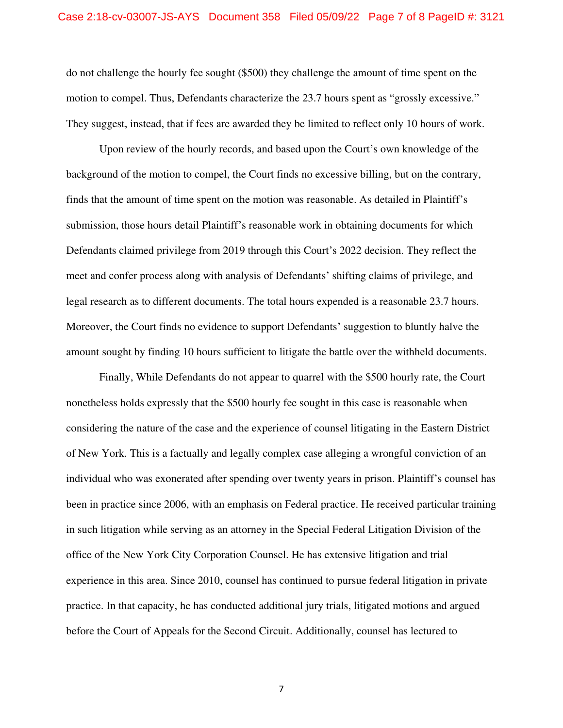do not challenge the hourly fee sought (\$500) they challenge the amount of time spent on the motion to compel. Thus, Defendants characterize the 23.7 hours spent as "grossly excessive." They suggest, instead, that if fees are awarded they be limited to reflect only 10 hours of work.

 Upon review of the hourly records, and based upon the Court's own knowledge of the background of the motion to compel, the Court finds no excessive billing, but on the contrary, finds that the amount of time spent on the motion was reasonable. As detailed in Plaintiff's submission, those hours detail Plaintiff's reasonable work in obtaining documents for which Defendants claimed privilege from 2019 through this Court's 2022 decision. They reflect the meet and confer process along with analysis of Defendants' shifting claims of privilege, and legal research as to different documents. The total hours expended is a reasonable 23.7 hours. Moreover, the Court finds no evidence to support Defendants' suggestion to bluntly halve the amount sought by finding 10 hours sufficient to litigate the battle over the withheld documents.

 Finally, While Defendants do not appear to quarrel with the \$500 hourly rate, the Court nonetheless holds expressly that the \$500 hourly fee sought in this case is reasonable when considering the nature of the case and the experience of counsel litigating in the Eastern District of New York. This is a factually and legally complex case alleging a wrongful conviction of an individual who was exonerated after spending over twenty years in prison. Plaintiff's counsel has been in practice since 2006, with an emphasis on Federal practice. He received particular training in such litigation while serving as an attorney in the Special Federal Litigation Division of the office of the New York City Corporation Counsel. He has extensive litigation and trial experience in this area. Since 2010, counsel has continued to pursue federal litigation in private practice. In that capacity, he has conducted additional jury trials, litigated motions and argued before the Court of Appeals for the Second Circuit. Additionally, counsel has lectured to